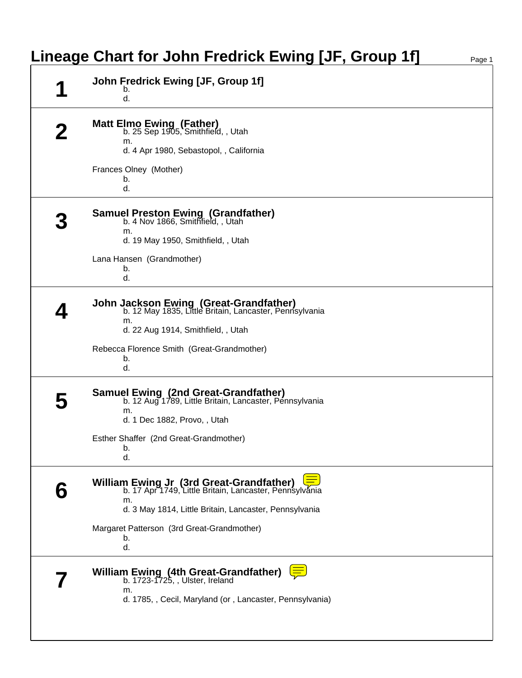|   | Lineage Chart for John Fredrick Ewing [JF, Group 1f]                                                                                                                     | Page 1 |
|---|--------------------------------------------------------------------------------------------------------------------------------------------------------------------------|--------|
| А | John Fredrick Ewing [JF, Group 1f]<br>b.<br>d.                                                                                                                           |        |
|   | <b>Matt Elmo Ewing (Father)</b><br>b. 25 Sep 1905, Smithfield, , Utah<br>m.<br>d. 4 Apr 1980, Sebastopol, , California                                                   |        |
|   | Frances Olney (Mother)<br>b.<br>d.                                                                                                                                       |        |
|   | <b>Samuel Preston Ewing (Grandfather)</b><br>b. 4 Nov 1866, Smithfield, , Utah<br>m.                                                                                     |        |
|   | d. 19 May 1950, Smithfield, , Utah<br>Lana Hansen (Grandmother)<br>b.<br>d.                                                                                              |        |
|   | <b>John Jackson Ewing (Great-Grandfather)</b><br>b. 12 May 1835, Little Britain, Lancaster, Pennsylvania<br>m.<br>d. 22 Aug 1914, Smithfield, , Utah                     |        |
|   | Rebecca Florence Smith (Great-Grandmother)<br>b.<br>d.                                                                                                                   |        |
|   | Samuel Ewing (2nd Great-Grandfather)<br>b. 12 Aug 1789, Little Britain, Lancaster, Pennsylvania<br>m.<br>d. 1 Dec 1882, Provo, , Utah                                    |        |
|   | Esther Shaffer (2nd Great-Grandmother)<br>b.<br>d.                                                                                                                       |        |
|   | William Ewing Jr (3rd Great-Grandfather) [50.<br>b. 17 Apr 1749, Little Britain, Lancaster, Pennsylvánia<br>m.<br>d. 3 May 1814, Little Britain, Lancaster, Pennsylvania |        |
|   | Margaret Patterson (3rd Great-Grandmother)<br>b.<br>d.                                                                                                                   |        |
|   | William Ewing (4th Great-Grandfather)<br>b. 1723-1725, , Ulster, Ireland<br>m.<br>d. 1785, , Cecil, Maryland (or, Lancaster, Pennsylvania)                               |        |